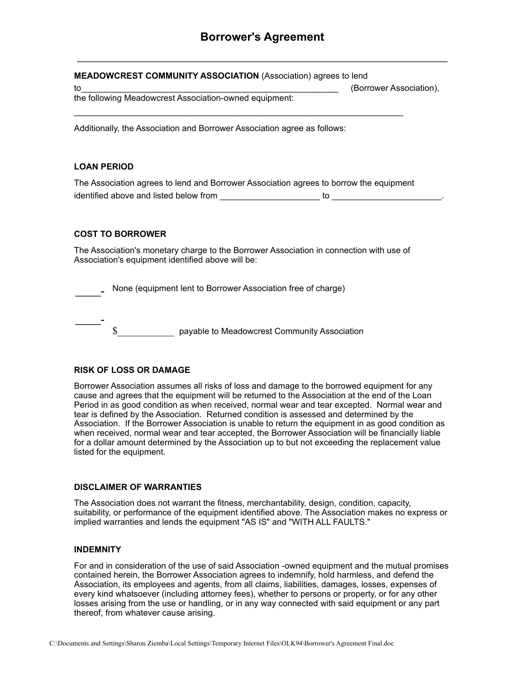| <b>MEADOWCREST COMMUNITY ASSOCIATION</b> (Association) agrees to lend<br>to<br>the following Meadowcrest Association-owned equipment:  | (Borrower Association), |  |
|----------------------------------------------------------------------------------------------------------------------------------------|-------------------------|--|
| Additionally, the Association and Borrower Association agree as follows:                                                               |                         |  |
| <b>LOAN PERIOD</b>                                                                                                                     |                         |  |
| The Association agrees to lend and Borrower Association agrees to borrow the equipment<br>identified above and listed below from<br>to |                         |  |

## **COST TO BORROWER**

The Association's monetary charge to the Borrower Association in connection with use of Association's equipment identified above will be:

**\_\_\_\_\_-** None (equipment lent to Borrower Association free of charge)

**\_\_\_\_\_-**  $\$\$ 

## **RISK OF LOSS OR DAMAGE**

Borrower Association assumes all risks of loss and damage to the borrowed equipment for any cause and agrees that the equipment will be returned to the Association at the end of the Loan Period in as good condition as when received, normal wear and tear excepted. Normal wear and tear is defined by the Association. Returned condition is assessed and determined by the Association. If the Borrower Association is unable to return the equipment in as good condition as when received, normal wear and tear accepted, the Borrower Association will be financially liable for a dollar amount determined by the Association up to but not exceeding the replacement value listed for the equipment.

## **DISCLAIMER OF WARRANTIES**

The Association does not warrant the fitness, merchantability, design, condition, capacity, suitability, or performance of the equipment identified above. The Association makes no express or implied warranties and lends the equipment "AS IS" and "WITH ALL FAULTS."

## **INDEMNITY**

For and in consideration of the use of said Association -owned equipment and the mutual promises contained herein, the Borrower Association agrees to indemnify, hold harmless, and defend the Association, its employees and agents, from all claims, liabilities, damages, losses, expenses of every kind whatsoever (including attorney fees), whether to persons or property, or for any other losses arising from the use or handling, or in any way connected with said equipment or any part thereof, from whatever cause arising.